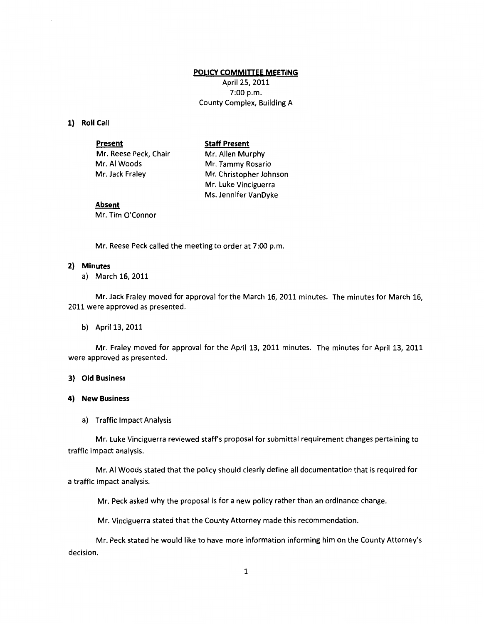## **POLICY COMMITTEE MEETING**

April 25, 2011 7:00 p.m. County Complex, Building A

### **1) Roll Call**

| <b>Present</b>        | <b>Staff Present</b>    |
|-----------------------|-------------------------|
| Mr. Reese Peck, Chair | Mr. Allen Murphy        |
| Mr. Al Woods          | Mr. Tammy Rosario       |
| Mr. Jack Fraley       | Mr. Christopher Johnson |
|                       | Mr. Luke Vinciguerra    |
|                       | Ms. Jennifer VanDyke    |

# **Absent**

Mr. Tim O'Connor

Mr. Reese Peck called the meeting to order at 7:00 p.m.

## **2) Minutes**

a) March 16, 2011

Mr. Jack Fraley moved for approval for the March 16, 2011 minutes. The minutes for March 16, 2011 were approved as presented.

#### b) April 13, 2011

Mr. Fraley moved for approval for the April 13, 2011 minutes. The minutes for April 13, 2011 were approved as presented.

# **3) Old Business**

## **4) New Business**

a) Traffic Impact Analysis

Mr. Luke Vinciguerra reviewed staff's proposal for submittal requirement changes pertaining to traffic impact analysis.

Mr. AI Woods stated that the policy should clearly define all documentation that is required for a traffic impact analysis.

Mr. Peck asked why the proposal is for a new policy rather than an ordinance change.

Mr. Vinciguerra stated that the County Attorney made this recommendation.

Mr. Peck stated he would like to have more information informing him on the County Attorney's decision.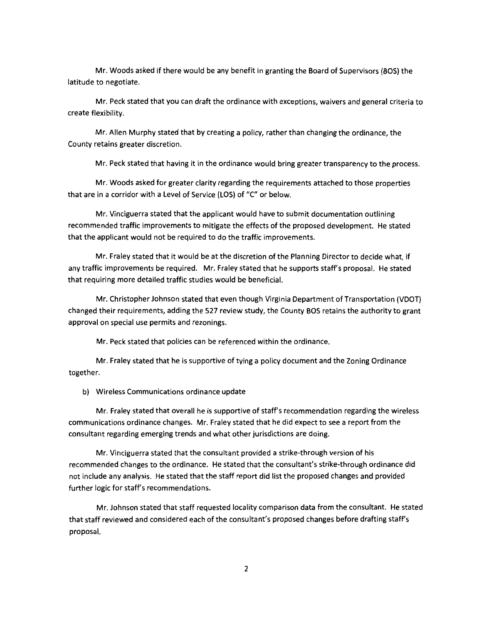Mr. Woods asked if there would be any benefit in granting the Board of Supervisors (BOS) the latitude to negotiate.

Mr. Peck stated that you can draft the ordinance with exceptions, waivers and general criteria to create flexibility.

Mr. Allen Murphy stated that by creating a policy, rather than changing the ordinance, the County retains greater discretion.

Mr. Peck stated that having it in the ordinance would bring greater transparency to the process.

Mr. Woods asked for greater clarity regarding the requirements attached to those properties that are in a corridor with a Level of Service (LOS) of "C" or below.

Mr. Vinciguerra stated that the applicant would have to submit documentation outlining recommended traffic improvements to mitigate the effects of the proposed development. He stated that the applicant would not be required to do the traffic improvements.

Mr. Fraley stated that it would be at the discretion of the Planning Director to decide what, if any traffic improvements be required. Mr. Fraley stated that he supports staff's proposal. He stated that requiring more detailed traffic studies would be beneficial.

Mr. Christopher Johnson stated that even though Virginia Department of Transportation (VDOT) changed their requirements, adding the 527 review study, the County BOS retains the authority to grant approval on special use permits and rezonings.

Mr. Peck stated that policies can be referenced within the ordinance.

Mr. Fraley stated that he is supportive of tying a policy document and the Zoning Ordinance together.

b) Wireless Communications ordinance update

Mr. Fraley stated that overall he is supportive of staff's recommendation regarding the wireless communications ordinance changes. Mr. Fraley stated that he did expect to see a report from the consultant regarding emerging trends and what other jurisdictions are doing.

Mr. Vinciguerra stated that the consultant provided a strike-through version of his recommended changes to the ordinance. He stated that the consultant's strike-through ordinance did not include any analysis. He stated that the staff report did list the proposed changes and provided further logic for staff's recommendations.

Mr. Johnson stated that staff requested locality comparison data from the consultant. He stated that staff reviewed and considered each of the consultant's proposed changes before drafting staff's proposal.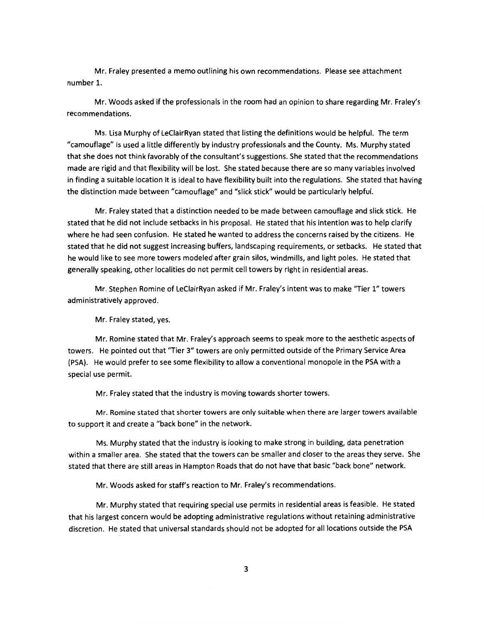Mr. Fraley presented a memo outlining his own recommendations. Please see attachment number 1.

Mr. Woods asked if the professionals in the room had an opinion to share regarding Mr. Fraley's recommendations.

Ms. Lisa Murphy of LeCiairRyan stated that listing the definitions would be helpful. The term "camouflage" is used a little differently by industry professionals and the County. Ms. Murphy stated that she does not think favorably of the consultant's suggestions. She stated that the recommendations made are rigid and that flexibility will be lost. She stated because there are so many variables involved in finding a suitable location it is ideal to have flexibility built into the regulations. She stated that having the distinction made between "camouflage" and "slick stick" would be particularly helpful.

Mr. Fraley stated that a distinction needed to be made between camouflage and slick stick. He stated that he did not include setbacks in his proposal. He stated that his intention was to help clarify where he had seen confusion. He stated he wanted to address the concerns raised by the citizens. He stated that he did not suggest increasing buffers, landscaping requirements, or setbacks. He stated that he would like to see more towers modeled after grain silos, windmills, and light poles. He stated that generally speaking, other localities do not permit cell towers by right in residential areas.

Mr. Stephen Romine of LeCiairRyan asked if Mr. Fraley's intent was to make "Tier 1" towers administratively approved.

Mr. Fraley stated, yes.

Mr. Romine stated that Mr. Fraley's approach seems to speak more to the aesthetic aspects of towers. He pointed out that "Tier 3" towers are only permitted outside of the Primary Service Area (PSA). He would prefer to see some flexibility to allow a conventional monopole in the PSA with a special use permit.

Mr. Fraley stated that the industry is moving towards shorter towers.

Mr. Romine stated that shorter towers are only suitable when there are larger towers available to support it and create a "back bone" in the network.

Ms. Murphy stated that the industry is looking to make strong in building, data penetration within a smaller area. She stated that the towers can be smaller and closer to the areas they serve. She stated that there are still areas in Hampton Roads that do not have that basic "back bone" network.

Mr. Woods asked for staff's reaction to Mr. Fraley's recommendations.

Mr. Murphy stated that requiring special use permits in residential areas is feasible. He stated that his largest concern would be adopting administrative regulations without retaining administrative discretion. He stated that universal standards should not be adopted for all locations outside the PSA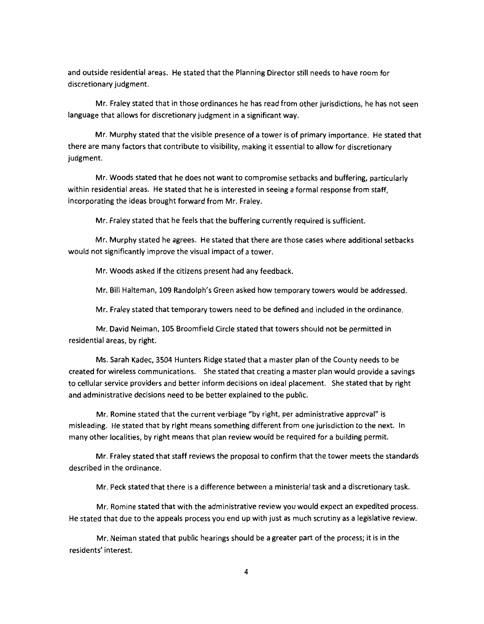and outside residential areas. He stated that the Planning Director still needs to have room for discretionary judgment.

Mr. Fraley stated that in those ordinances he has read from other jurisdictions, he has not seen language that allows for discretionary judgment in a significant way.

Mr. Murphy stated that the visible presence of a tower is of primary importance. He stated that there are many factors that contribute to visibility, making it essential to allow for discretionary judgment.

Mr. Woods stated that he does not want to compromise setbacks and buffering, particularly within residential areas. He stated that he is interested in seeing a formal response from staff, incorporating the ideas brought forward from Mr. Fraley.

Mr. Fraley stated that he feels that the buffering currently required is sufficient.

Mr. Murphy stated he agrees. He stated that there are those cases where additional setbacks would not significantly improve the visual impact of a tower.

Mr. Woods asked if the citizens present had any feedback.

Mr. Bill Halteman, 109 Randolph's Green asked how temporary towers would be addressed.

Mr. Fraley stated that temporary towers need to be defined and included in the ordinance.

Mr. David Neiman, 105 Broomfield Circle stated that towers should not be permitted in residential areas, by right.

Ms. Sarah Kadec, 3504 Hunters Ridge stated that a master plan of the County needs to be created for wireless communications. She stated that creating a master plan would provide a savings to cellular service providers and better inform decisions on ideal placement. She stated that by right and administrative decisions need to be better explained to the public.

Mr. Romine stated that the current verbiage "by right, per administrative approval" is misleading. He stated that by right means something different from one jurisdiction to the next. In many other localities, by right means that plan review would be required for a building permit.

Mr. Fraley stated that staff reviews the proposal to confirm that the tower meets the standards described in the ordinance.

Mr. Peck stated that there is a difference between a ministerial task and a discretionary task.

Mr. Romine stated that with the administrative review you would expect an expedited process. He stated that due to the appeals process you end up with just as much scrutiny as a legislative review.

Mr. Neiman stated that public hearings should be a greater part of the process; it is in the residents' interest.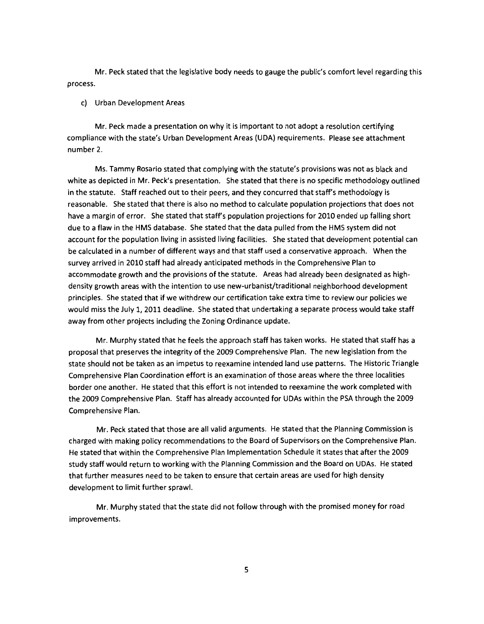Mr. Peck stated that the legislative body needs to gauge the public's comfort level regarding this process.

## c) Urban Development Areas

Mr. Peck made a presentation on why it is important to not adopt a resolution certifying compliance with the state's Urban Development Areas (UDA) requirements. Please see attachment number 2.

Ms. Tammy Rosario stated that complying with the statute's provisions was not as black and white as depicted in Mr. Peck's presentation. She stated that there is no specific methodology outlined in the statute. Staff reached out to their peers, and they concurred that staff's methodology is reasonable. She stated that there is also no method to calculate population projections that does not have a margin of error. She stated that staff's population projections for 2010 ended up falling short due to a flaw in the HMS database. She stated that the data pulled from the HMS system did not account for the population living in assisted living facilities. She stated that development potential can be calculated in a number of different ways and that staff used a conservative approach. When the survey arrived in 2010 staff had already anticipated methods in the Comprehensive Plan to accommodate growth and the provisions of the statute. Areas had already been designated as highdensity growth areas with the intention to use new-urbanist/traditional neighborhood development principles. She stated that if we withdrew our certification take extra time to review our policies we would miss the July 1, 2011 deadline. She stated that undertaking a separate process would take staff away from other projects including the Zoning Ordinance update.

Mr. Murphy stated that he feels the approach staff has taken works. He stated that staff has a proposal that preserves the integrity of the 2009 Comprehensive Plan. The new legislation from the state should not be taken as an impetus to reexamine intended land use patterns. The Historic Triangle Comprehensive Plan Coordination effort is an examination of those areas where the three localities border one another. He stated that this effort is not intended to reexamine the work completed with the 2009 Comprehensive Plan. Staff has already accounted for UDAs within the PSA through the 2009 Comprehensive Plan.

Mr. Peck stated that those are all valid arguments. He stated that the Planning Commission is charged with making policy recommendations to the Board of Supervisors on the Comprehensive Plan. He stated that within the Comprehensive Plan Implementation Schedule it states that after the 2009 study staff would return to working with the Planning Commission and the Board on UDAs. He stated that further measures need to be taken to ensure that certain areas are used for high density development to limit further sprawl.

Mr. Murphy stated that the state did not follow through with the promised money for road improvements.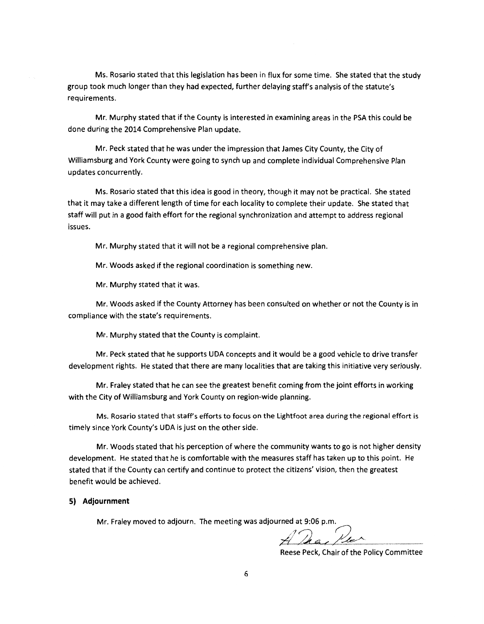Ms. Rosario stated that this legislation has been in flux for some time. She stated that the study group took much longer than they had expected, further delaying staff's analysis of the statute's requirements.

Mr. Murphy stated that if the County is interested in examining areas in the PSA this could be done during the 2014 Comprehensive Plan update.

Mr. Peck stated that he was under the impression that James City County, the City of Williamsburg and York County were going to synch up and complete individual Comprehensive Plan updates concurrently.

Ms. Rosario stated that this idea is good in theory, though it may not be practical. She stated that it may take a different length of time for each locality to complete their update. She stated that staff will put in a good faith effort for the regional synchronization and attempt to address regional issues.

Mr. Murphy stated that it will not be a regional comprehensive plan.

Mr. Woods asked if the regional coordination is something new.

Mr. Murphy stated that it was.

Mr. Woods asked if the County Attorney has been consulted on whether or not the County is in compliance with the state's requirements.

Mr. Murphy stated that the County is complaint.

Mr. Peck stated that he supports UDA concepts and it would be a good vehicle to drive transfer development rights. He stated that there are many localities that are taking this initiative very seriously.

Mr. Fraley stated that he can see the greatest benefit coming from the joint efforts in working with the City of Williamsburg and York County on region-wide planning.

Ms. Rosario stated that staffs efforts to focus on the Lightfoot area during the regional effort is timely since York County's UDA is just on the other side.

Mr. Woods stated that his perception of where the community wants to go is not higher density development. He stated that he is comfortable with the measures staff has taken up to this point. He stated that if the County can certify and continue to protect the citizens' vision, then the greatest benefit would be achieved.

#### **5} Adjournment**

Mr. Fraley moved to adjourn. The meeting was adjourned at 9:06 p.m.

 $\mathcal{D}_{\bm{a}}$  ,  $\mathcal{D}_{\bm{a}}$ 

Reese Peck, Chair of the Policy Committee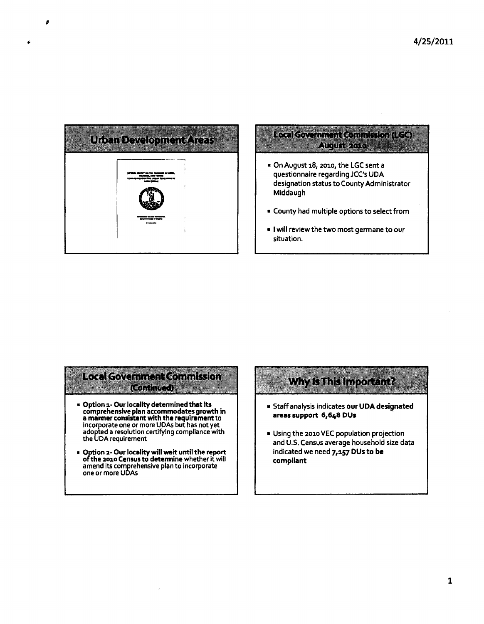

# Local Government Commission (LGC) August 2010 / 1998

- On August 18, 2010, the LGC sent a questionnaire regarding JCC's UDA designation status to County Administrator Middaugh
- County had multiple options to select from
- I will review the two most germane to our situation.

# **Local Government Commission Continued)**

- Option 1- Our locality determined that its comprehensive plan accommodates growth in a manner consistent with the requirement to Incorporate one or more UDAs but has not yet adopted a resolution certifying compliance with the UDA requirement
- Option 2- Our locality will wait until the report ofthe 2010 Census to determine whether it will amend its comprehensive plan to incorporate one or more UDAs

# **Why Is This Important?**

- Staff analysis indicates our UDA designated areas support 6,648 DUs
- Using the 2010 VEC population projection and U.S. Census average household size data indicated we need 7,157 DUs to be compliant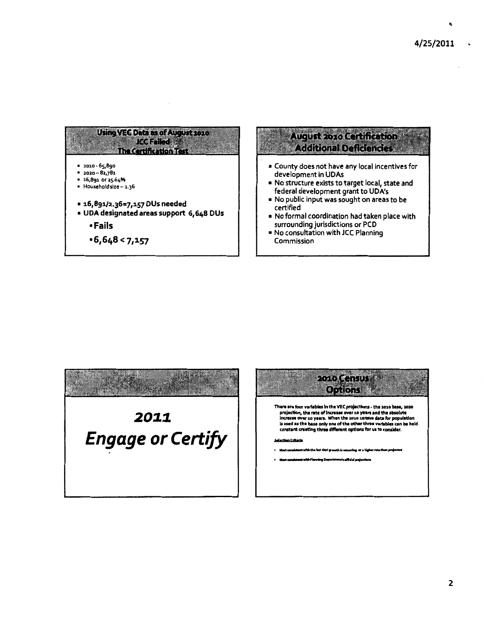





 $\overline{2}$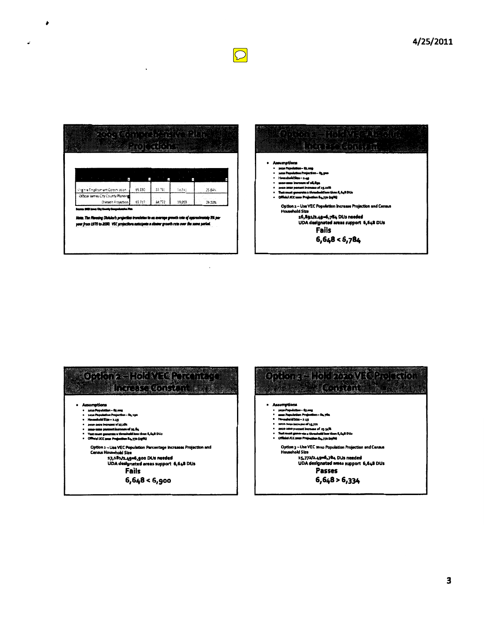

 $\overline{\phantom{a}}$ 

 $\mathbf{r}$ 





 $\boxed{\bigcirc}$ 

3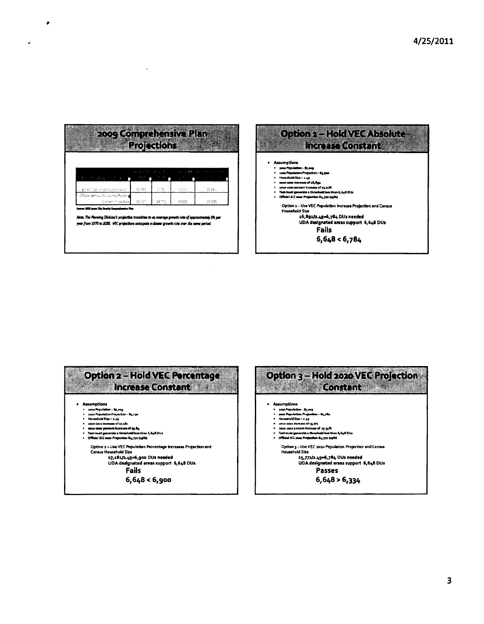

 $\bullet$ 

٠.